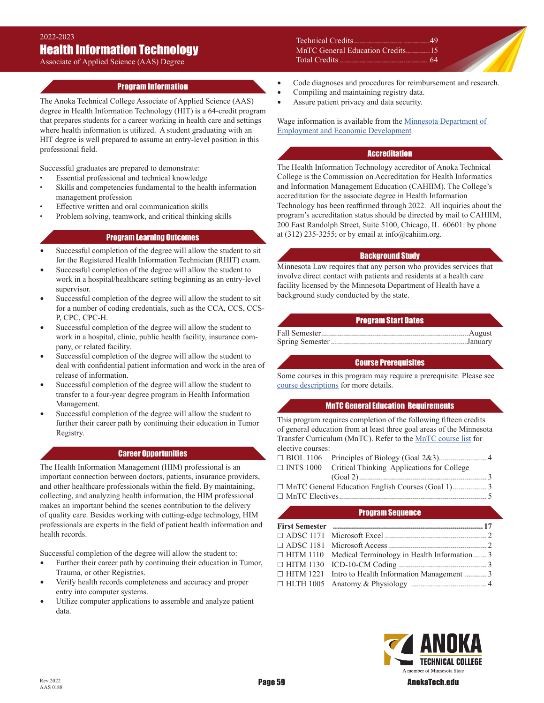## 2022-2023 Health Information Technology

Associate of Applied Science (AAS) Degree

### Program Information

The Anoka Technical College Associate of Applied Science (AAS) degree in Health Information Technology (HIT) is a 64-credit program that prepares students for a career working in health care and settings where health information is utilized. A student graduating with an HIT degree is well prepared to assume an entry-level position in this professional field.

Successful graduates are prepared to demonstrate:

- Essential professional and technical knowledge
- Skills and competencies fundamental to the health information management profession
- Effective written and oral communication skills
- Problem solving, teamwork, and critical thinking skills

### Program Learning Outcomes

- Successful completion of the degree will allow the student to sit for the Registered Health Information Technician (RHIT) exam.
- Successful completion of the degree will allow the student to work in a hospital/healthcare setting beginning as an entry-level supervisor.
- Successful completion of the degree will allow the student to sit for a number of coding credentials, such as the CCA, CCS, CCS-P, CPC, CPC-H.
- Successful completion of the degree will allow the student to work in a hospital, clinic, public health facility, insurance company, or related facility.
- Successful completion of the degree will allow the student to deal with confidential patient information and work in the area of release of information.
- Successful completion of the degree will allow the student to transfer to a four-year degree program in Health Information Management.
- Successful completion of the degree will allow the student to further their career path by continuing their education in Tumor Registry.

### Career Opportunities

The Health Information Management (HIM) professional is an important connection between doctors, patients, insurance providers, and other healthcare professionals within the field. By maintaining, collecting, and analyzing health information, the HIM professional makes an important behind the scenes contribution to the delivery of quality care. Besides working with cutting-edge technology, HIM professionals are experts in the field of patient health information and health records.

Successful completion of the degree will allow the student to:

- Further their career path by continuing their education in Tumor, Trauma, or other Registries.
- Verify health records completeness and accuracy and proper entry into computer systems.
- Utilize computer applications to assemble and analyze patient data.

Technical Credits........................ .............49 MnTC General Education Credits ............15 Total Credits ............................................ 64

- Code diagnoses and procedures for reimbursement and research.
- Compiling and maintaining registry data.
- Assure patient privacy and data security.

Wage information is available from the Minnesota Department of [Employment and Economic Development](https://mn.gov/deed/job-seekers/job-outlook/)

#### **Accreditation**

The Health Information Technology accreditor of Anoka Technical College is the Commission on Accreditation for Health Informatics and Information Management Education (CAHIIM). The College's accreditation for the associate degree in Health Information Technology has been reaffirmed through 2022. All inquiries about the program's accreditation status should be directed by mail to CAHIIM, 200 East Randolph Street, Suite 5100, Chicago, IL 60601: by phone at (312) 235-3255; or by email at info@cahiim.org.

### Background Study

Minnesota Law requires that any person who provides services that involve direct contact with patients and residents at a health care facility licensed by the Minnesota Department of Health have a background study conducted by the state.

### Program Start Dates

Fall Semester..........................................................................August Spring Semester ....................................................................January

### Course Prerequisites

Some courses in this program may require a prerequisite. Please see [course descriptions](http://www.anokatech.edu/ProgramsCourses/CourseList_Descriptions ) for more details.

#### MnTC General Education Requirements

This program requires completion of the following fifteen credits of general education from at least three goal areas of the Minnesota Transfer Curriculum (MnTC). Refer to the [MnTC course list](http://www.anokatech.edu/BecomeStudent/Transfers/MnTC) for elective courses:

- BIOL 1106 Principles of Biology (Goal 2&3)........................ 4  $\Box$  INTS 1000 Critical Thinking Applications for College (Goal 2)................................................................ 3 MnTC General Education English Courses (Goal 1)................. 3
- MnTC Electives.......................................................................... 5

#### Program Sequence

| <b>First Semester</b> manual manual contract of 17           |  |
|--------------------------------------------------------------|--|
|                                                              |  |
|                                                              |  |
| $\Box$ HITM 1110 Medical Terminology in Health Information 3 |  |
|                                                              |  |
| □ HITM 1221 Intro to Health Information Management  3        |  |
|                                                              |  |